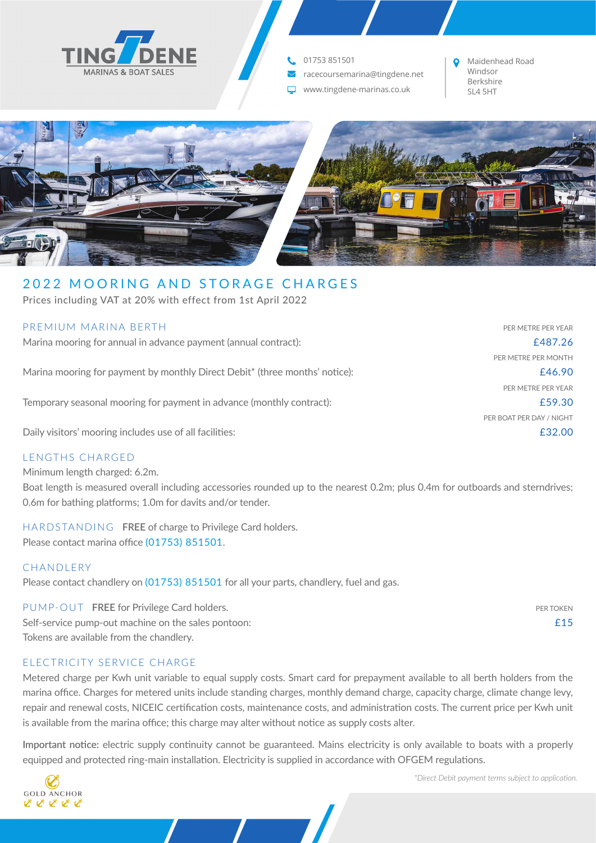

**t.** 01753 851501

Y racecoursemarina@tingdene.net

www.tingdene-marinas.co.uk SL4 5HT

Maidenhead Road Windsor Berkshire



# 2022 MOORING AND STORAGE CHARGES

Prices including VAT at 20% with effect from 1st April 2022

| PREMIUM MARINA BERTH                                                                    | PER METRE PER YEAR       |
|-----------------------------------------------------------------------------------------|--------------------------|
| Marina mooring for annual in advance payment (annual contract):                         | £487.26                  |
|                                                                                         | PER METRE PER MONTH      |
| Marina mooring for payment by monthly Direct Debit <sup>*</sup> (three months' notice): | £46.90                   |
|                                                                                         | PER METRE PER YEAR       |
| Temporary seasonal mooring for payment in advance (monthly contract):                   | £59.30                   |
|                                                                                         | PER BOAT PER DAY / NIGHT |
| Daily visitors' mooring includes use of all facilities:                                 | £32.00                   |
|                                                                                         |                          |

## LENGTHS CHARGED

Minimum length charged: 6.2m.

Boat length is measured overall including accessories rounded up to the nearest 0.2m; plus 0.4m for outboards and sterndrives; 0.6m for bathing platforms; 1.0m for davits and/or tender.

HARDSTANDING **FREE** of charge to Privilege Card holders. Please contact marina office (01753) 851501.

### **CHANDLERY**

Please contact chandlery on (01753) 851501 for all your parts, chandlery, fuel and gas.

PUMP-OUT FREE for Privilege Card holders. **PER TOKEN** Self-service pump-out machine on the sales pontoon:  $£15$ Tokens are available from the chandlery.

## ELECTRICITY SERVICE CHARGE

Metered charge per Kwh unit variable to equal supply costs. Smart card for prepayment available to all berth holders from the marina office. Charges for metered units include standing charges, monthly demand charge, capacity charge, climate change levy, repair and renewal costs, NICEIC certification costs, maintenance costs, and administration costs. The current price per Kwh unit is available from the marina office; this charge may alter without notice as supply costs alter.

**Important notice:** electric supply continuity cannot be guaranteed. Mains electricity is only available to boats with a properly equipped and protected ring-main installation. Electricity is supplied in accordance with OFGEM regulations.